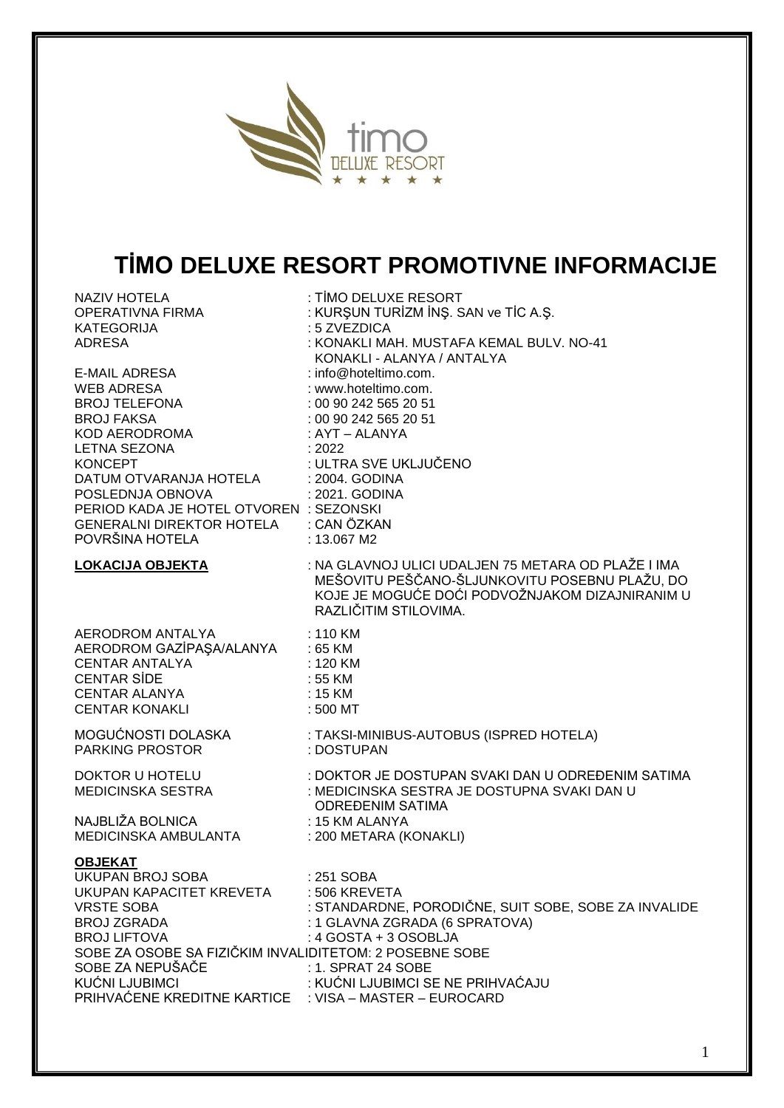

# **TİMO DELUXE RESORT PROMOTIVNE INFORMACIJE**

| <b>NAZIV HOTELA</b><br>OPERATIVNA FIRMA                                                                                                                                                                                                                                                                          | : TİMO DELUXE RESORT<br>: KURŞUN TURİZM İNŞ. SAN ve TİC A.Ş.                                                                                                                                           |
|------------------------------------------------------------------------------------------------------------------------------------------------------------------------------------------------------------------------------------------------------------------------------------------------------------------|--------------------------------------------------------------------------------------------------------------------------------------------------------------------------------------------------------|
| <b>KATEGORIJA</b><br><b>ADRESA</b>                                                                                                                                                                                                                                                                               | : 5 ZVEZDICA<br>: KONAKLI MAH. MUSTAFA KEMAL BULV. NO-41<br>KONAKLI - ALANYA / ANTALYA                                                                                                                 |
| E-MAIL ADRESA<br><b>WEB ADRESA</b><br><b>BROJ TELEFONA</b><br><b>BROJ FAKSA</b><br>KOD AERODROMA<br><b>LETNA SEZONA</b><br><b>KONCEPT</b><br>DATUM OTVARANJA HOTELA<br>POSLEDNJA OBNOVA<br>PERIOD KADA JE HOTEL OTVOREN : SEZONSKI<br>GENERALNI DIREKTOR HOTELA : CAN ÖZKAN<br>POVRŠINA HOTELA                   | : info@hoteltimo.com.<br>: www.hoteltimo.com.<br>: 00 90 242 565 20 51<br>: 00 90 242 565 20 51<br>: AYT – ALANYA<br>:2022<br>: ULTRA SVE UKLJUČENO<br>: 2004. GODINA<br>: 2021. GODINA<br>: 13.067 M2 |
| <b>LOKACIJA OBJEKTA</b>                                                                                                                                                                                                                                                                                          | : NA GLAVNOJ ULICI UDALJEN 75 METARA OD PLAŽE I IMA<br>MEŠOVITU PEŠČANO-ŠLJUNKOVITU POSEBNU PLAŽU, DO<br>KOJE JE MOGUĆE DOĆI PODVOŽNJAKOM DIZAJNIRANIM U<br>RAZLIČITIM STILOVIMA.                      |
| AERODROM ANTALYA<br>AERODROM GAZİPAŞA/ALANYA : 65 KM<br>120 KM :<br>55 KM :<br>CENTAR ANTALYA<br><b>CENTAR SİDE</b><br>CENTAR ALANYA<br><b>CENTAR KONAKLI</b>                                                                                                                                                    | : 110 KM<br>: 120 KM<br>: 15 KM<br>: 500 MT                                                                                                                                                            |
| MOGUĆNOSTI DOLASKA<br><b>PARKING PROSTOR</b>                                                                                                                                                                                                                                                                     | : TAKSI-MINIBUS-AUTOBUS (ISPRED HOTELA)<br>: DOSTUPAN                                                                                                                                                  |
| שטוניטא ט HOTELU<br>MEDICINSKA SESTRA                                                                                                                                                                                                                                                                            | : DOKTOR JE DOSTUPAN SVAKI DAN U ODREĐENIM SATIMA<br>: MEDICINSKA SESTRA JE DOSTUPNA SVAKI DAN U<br>ODREĐENIM SATIMA                                                                                   |
| NAJBLIŽA BOLNICA<br>MEDICINSKA AMBULANTA                                                                                                                                                                                                                                                                         | : 15 KM ALANYA<br>: 200 METARA (KONAKLI)                                                                                                                                                               |
| <b>OBJEKAT</b><br><b>UKUPAN BROJ SOBA</b><br>UKUPAN KAPACITET KREVETA : 506 KREVETA<br><b>VRSTE SOBA</b><br><b>BROJ ZGRADA</b><br><b>BROJ LIFTOVA</b><br>SOBE ZA OSOBE SA FIZIČKIM INVALIDITETOM: 2 POSEBNE SOBE<br>SOBE ZA NEPUŠAČE<br>KUĆNI LJUBIMCI<br>PRIHVAĆENE KREDITNE KARTICE : VISA - MASTER - EUROCARD | : 251 SOBA<br>: STANDARDNE, PORODIČNE, SUIT SOBE, SOBE ZA INVALIDE<br>: 1 GLAVNA ZGRADA (6 SPRATOVA)<br>: 4 GOSTA + 3 OSOBLJA<br>: 1. SPRAT 24 SOBE                                                    |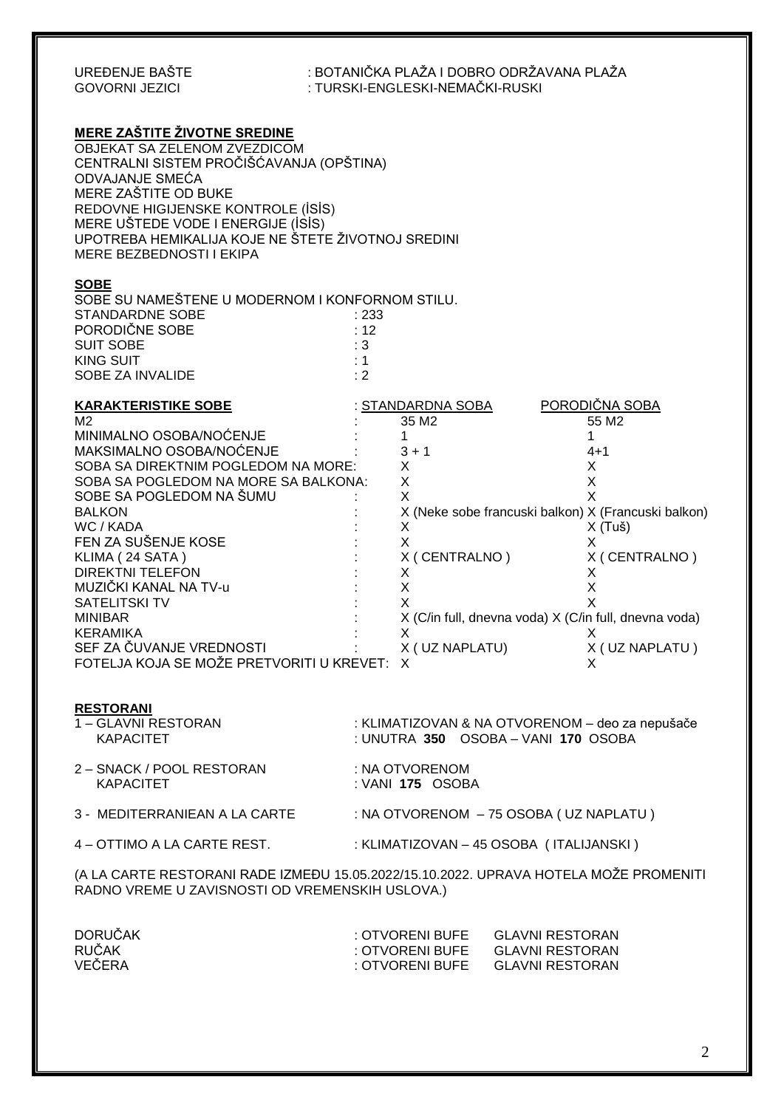| UREĐENJE BAŠTE<br><b>GOVORNI JEZICI</b>                                                                                                                                                                                                                                                                                                                                                                                                                                                                                                    | : BOTANIČKA PLAŽA I DOBRO ODRŽAVANA PLAŽA<br>: TURSKI-ENGLESKI-NEMAČKI-RUSKI                                                                                                                                                                                                                                                                                                                        |  |  |  |
|--------------------------------------------------------------------------------------------------------------------------------------------------------------------------------------------------------------------------------------------------------------------------------------------------------------------------------------------------------------------------------------------------------------------------------------------------------------------------------------------------------------------------------------------|-----------------------------------------------------------------------------------------------------------------------------------------------------------------------------------------------------------------------------------------------------------------------------------------------------------------------------------------------------------------------------------------------------|--|--|--|
| <b>MERE ZAŠTITE ŽIVOTNE SREDINE</b><br>OBJEKAT SA ZELENOM ZVEZDICOM<br>CENTRALNI SISTEM PROČIŠĆAVANJA (OPŠTINA)<br>ODVAJANJE SMEĆA<br>MERE ZAŠTITE OD BUKE<br>REDOVNE HIGIJENSKE KONTROLE (İSİS)<br>MERE UŠTEDE VODE I ENERGIJE (ISIS)<br>UPOTREBA HEMIKALIJA KOJE NE ŠTETE ŽIVOTNOJ SREDINI<br>MERE BEZBEDNOSTI I EKIPA                                                                                                                                                                                                                   |                                                                                                                                                                                                                                                                                                                                                                                                     |  |  |  |
| <b>SOBE</b><br>SOBE SU NAMEŠTENE U MODERNOM I KONFORNOM STILU.<br><b>STANDARDNE SOBE</b><br>PORODIČNE SOBE<br><b>SUIT SOBE</b><br><b>KING SUIT</b><br>SOBE ZA INVALIDE                                                                                                                                                                                                                                                                                                                                                                     | : 233<br>: 12<br>:3<br>: 1<br>: 2                                                                                                                                                                                                                                                                                                                                                                   |  |  |  |
| <b>KARAKTERISTIKE SOBE</b><br>M <sub>2</sub><br>MINIMALNO OSOBA/NOĆENJE<br>MAKSIMALNO OSOBA/NOĆENJE<br>SOBA SA DIREKTNIM POGLEDOM NA MORE:<br>SOBA SA POGLEDOM NA MORE SA BALKONA:<br>SOBE SA POGLEDOM NA ŠUMU<br><b>BALKON</b><br>WC / KADA<br>FEN ZA SUŠENJE KOSE<br>KLIMA (24 SATA)<br><b>DIREKTNI TELEFON</b><br>MUZIČKI KANAL NA TV-u<br><b>SATELITSKI TV</b><br><b>MINIBAR</b><br><b>KERAMIKA</b><br>SEF ZA ČUVANJE VREDNOSTI SERI SA NARODNOSTI NA SARADNO SERI ZA ČUVANJE VREDNOSTI<br>FOTELJA KOJA SE MOŽE PRETVORITI U KREVET: X | PORODIČNA SOBA<br>: STANDARDNA SOBA<br>35 M <sub>2</sub><br>55 M <sub>2</sub><br>$\mathbf{1}$<br>1<br>$3 + 1$<br>$4 + 1$<br>X<br>X<br>X<br>X<br>X<br>X<br>X (Neke sobe francuski balkon) X (Francuski balkon)<br>X (Tuš)<br>X<br>X<br>X.<br>X (CENTRALNO)<br>X (CENTRALNO)<br>X<br>X<br>Χ<br>X<br>X<br>X<br>X (C/in full, dnevna voda) X (C/in full, dnevna voda)<br>X<br>X<br>X (UZ NAPLATU )<br>X |  |  |  |
| <b>RESTORANI</b><br>1 - GLAVNI RESTORAN<br><b>KAPACITET</b>                                                                                                                                                                                                                                                                                                                                                                                                                                                                                | : KLIMATIZOVAN & NA OTVORENOM – deo za nepušače<br>: UNUTRA 350 OSOBA - VANI 170 OSOBA                                                                                                                                                                                                                                                                                                              |  |  |  |
| 2 – SNACK / POOL RESTORAN<br><b>KAPACITET</b>                                                                                                                                                                                                                                                                                                                                                                                                                                                                                              | : NA OTVORENOM<br>: VANI 175 OSOBA                                                                                                                                                                                                                                                                                                                                                                  |  |  |  |
|                                                                                                                                                                                                                                                                                                                                                                                                                                                                                                                                            | 3 - MEDITERRANIEAN A LA CARTE : NA OTVORENOM - 75 OSOBA (UZ NAPLATU)                                                                                                                                                                                                                                                                                                                                |  |  |  |
|                                                                                                                                                                                                                                                                                                                                                                                                                                                                                                                                            | 4 - OTTIMO A LA CARTE REST. : XLIMATIZOVAN - 45 OSOBA (ITALIJANSKI)                                                                                                                                                                                                                                                                                                                                 |  |  |  |
| RADNO VREME U ZAVISNOSTI OD VREMENSKIH USLOVA.)                                                                                                                                                                                                                                                                                                                                                                                                                                                                                            | (A LA CARTE RESTORANI RADE IZMEĐU 15.05.2022/15.10.2022. UPRAVA HOTELA MOŽE PROMENITI                                                                                                                                                                                                                                                                                                               |  |  |  |
| <b>DORUČAK</b><br><b>RUČAK</b><br>VEČERA                                                                                                                                                                                                                                                                                                                                                                                                                                                                                                   | : OTVORENI BUFE GLAVNI RESTORAN<br>: OTVORENI BUFE GLAVNI RESTORAN<br>: OTVORENI BUFE<br><b>GLAVNI RESTORAN</b>                                                                                                                                                                                                                                                                                     |  |  |  |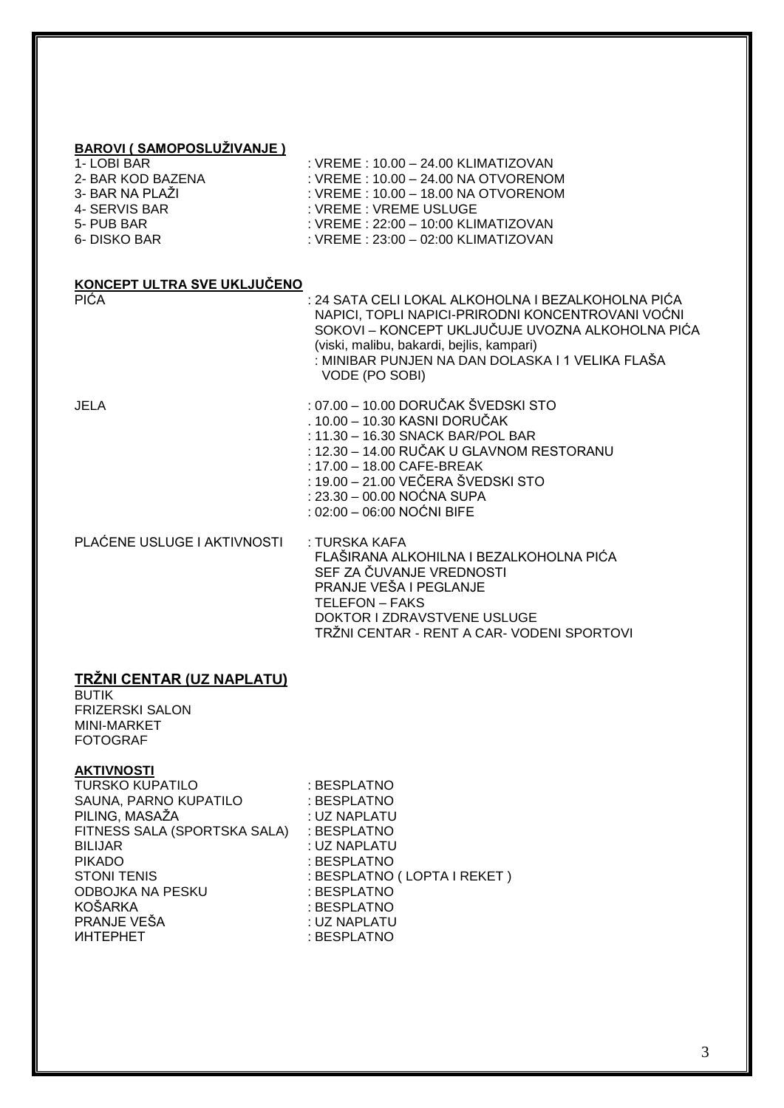#### **BAROVI ( SAMOPOSLUŽIVANJE )**

|  |  | 1- LOBI BAR |  |
|--|--|-------------|--|
|  |  |             |  |
|  |  |             |  |

- 2- BAR KOD BAZENA : VREME : 10.00 24.00 NA OTVORENOM
- 
- 
- 
- 
- : VREME : 10.00 18.00 NA OTVORENOM 4- SERVIS BAR : YREME : VREME USLUGE

: VREME : 10.00 - 24.00 KLIMATIZOVAN

- 5- PUB BAR : 22:00 10:00 KLIMATIZOVAN
- 6- DISKO BAR : VREME : 23:00 02:00 KLIMATIZOVAN

# **KONCEPT ULTRA SVE UKLJUČENO**

PIĆA : 24 SATA CELI LOKAL ALKOHOLNA I BEZALKOHOLNA PIĆA NAPICI, TOPLI NAPICI-PRIRODNI KONCENTROVANI VOĆNI SOKOVI – KONCEPT UKLJUČUJE UVOZNA ALKOHOLNA PIĆA (viski, malibu, bakardi, bejlis, kampari) : MINIBAR PUNJEN NA DAN DOLASKA I 1 VELIKA FLAŠA VODE (PO SOBI)

- JELA : 07.00 10.00 DORUČAK ŠVEDSKI STO . 10.00 – 10.30 KASNI DORUČAK : 11.30 – 16.30 SNACK BAR/POL BAR : 12.30 – 14.00 RUČAK U GLAVNOM RESTORANU : 17.00 – 18.00 CAFE-BREAK : 19.00 – 21.00 VEČERA ŠVEDSKI STO : 23.30 – 00.00 NOĆNA SUPA : 02:00 – 06:00 NOĆNI BIFE PLAĆENE USLUGE I AKTIVNOSTI : TURSKA KAFA FLAŠIRANA ALKOHILNA I BEZALKOHOLNA PIĆA SEF ZA ČUVANJE VREDNOSTI PRANJE VEŠA I PEGLANJE
	- TELEFON FAKS DOKTOR I ZDRAVSTVENE USLUGE TRŽNI CENTAR - RENT A CAR- VODENI SPORTOVI

# **TRŽNI CENTAR (UZ NAPLATU)**

BUTIK FRIZERSKI SALON MINI-MARKET FOTOGRAF

#### **AKTIVNOSTI**

| <b>TURSKO KUPATILO</b>       | : BESPLATNO                 |
|------------------------------|-----------------------------|
| SAUNA, PARNO KUPATILO        | : BESPLATNO                 |
| PILING, MASAŽA               | : UZ NAPLATU                |
| FITNESS SALA (SPORTSKA SALA) | : BESPLATNO                 |
| <b>BILIJAR</b>               | : UZ NAPLATU                |
| <b>PIKADO</b>                | : BESPLATNO                 |
| <b>STONI TENIS</b>           | : BESPLATNO (LOPTA I REKET) |
| <b>ODBOJKA NA PESKU</b>      | : BESPLATNO                 |
| <b>KOŠARKA</b>               | : BESPLATNO                 |
| PRANJE VEŠA                  | : UZ NAPLATU                |
| <b>UHTEPHET</b>              | : BESPLATNO                 |
|                              |                             |